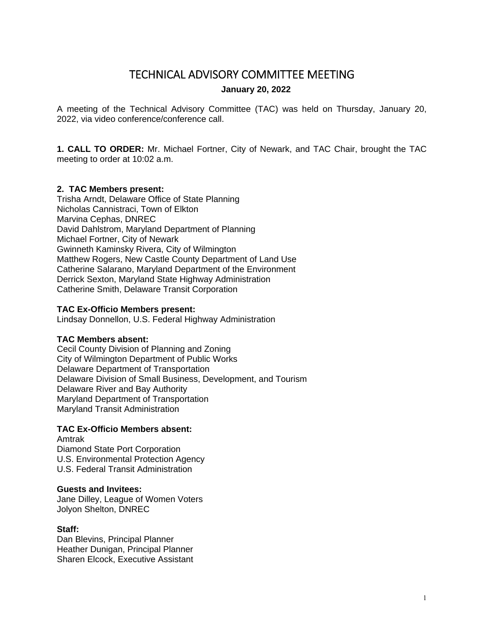# TECHNICAL ADVISORY COMMITTEE MEETING

### **January 20, 2022**

A meeting of the Technical Advisory Committee (TAC) was held on Thursday, January 20, 2022, via video conference/conference call.

**1. CALL TO ORDER:** Mr. Michael Fortner, City of Newark, and TAC Chair, brought the TAC meeting to order at 10:02 a.m.

### **2. TAC Members present:**

Trisha Arndt, Delaware Office of State Planning Nicholas Cannistraci, Town of Elkton Marvina Cephas, DNREC David Dahlstrom, Maryland Department of Planning Michael Fortner, City of Newark Gwinneth Kaminsky Rivera, City of Wilmington Matthew Rogers, New Castle County Department of Land Use Catherine Salarano, Maryland Department of the Environment Derrick Sexton, Maryland State Highway Administration Catherine Smith, Delaware Transit Corporation

### **TAC Ex-Officio Members present:**

Lindsay Donnellon, U.S. Federal Highway Administration

### **TAC Members absent:**

Cecil County Division of Planning and Zoning City of Wilmington Department of Public Works Delaware Department of Transportation Delaware Division of Small Business, Development, and Tourism Delaware River and Bay Authority Maryland Department of Transportation Maryland Transit Administration

### **TAC Ex-Officio Members absent:**

Amtrak Diamond State Port Corporation U.S. Environmental Protection Agency U.S. Federal Transit Administration

### **Guests and Invitees:**

Jane Dilley, League of Women Voters Jolyon Shelton, DNREC

### **Staff:**

Dan Blevins, Principal Planner Heather Dunigan, Principal Planner Sharen Elcock, Executive Assistant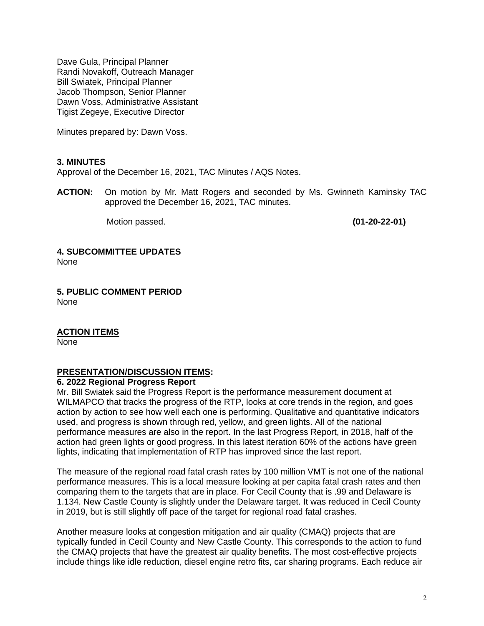Dave Gula, Principal Planner Randi Novakoff, Outreach Manager Bill Swiatek, Principal Planner Jacob Thompson, Senior Planner Dawn Voss, Administrative Assistant Tigist Zegeye, Executive Director

Minutes prepared by: Dawn Voss.

#### **3. MINUTES**

Approval of the December 16, 2021, TAC Minutes / AQS Notes.

**ACTION:** On motion by Mr. Matt Rogers and seconded by Ms. Gwinneth Kaminsky TAC approved the December 16, 2021, TAC minutes.

Motion passed. **(01-20-22-01)** 

#### **4. SUBCOMMITTEE UPDATES**

None

**5. PUBLIC COMMENT PERIOD**  None

### **ACTION ITEMS**

None

### **PRESENTATION/DISCUSSION ITEMS:**

#### **6. 2022 Regional Progress Report**

Mr. Bill Swiatek said the Progress Report is the performance measurement document at WILMAPCO that tracks the progress of the RTP, looks at core trends in the region, and goes action by action to see how well each one is performing. Qualitative and quantitative indicators used, and progress is shown through red, yellow, and green lights. All of the national performance measures are also in the report. In the last Progress Report, in 2018, half of the action had green lights or good progress. In this latest iteration 60% of the actions have green lights, indicating that implementation of RTP has improved since the last report.

The measure of the regional road fatal crash rates by 100 million VMT is not one of the national performance measures. This is a local measure looking at per capita fatal crash rates and then comparing them to the targets that are in place. For Cecil County that is .99 and Delaware is 1.134. New Castle County is slightly under the Delaware target. It was reduced in Cecil County in 2019, but is still slightly off pace of the target for regional road fatal crashes.

Another measure looks at congestion mitigation and air quality (CMAQ) projects that are typically funded in Cecil County and New Castle County. This corresponds to the action to fund the CMAQ projects that have the greatest air quality benefits. The most cost-effective projects include things like idle reduction, diesel engine retro fits, car sharing programs. Each reduce air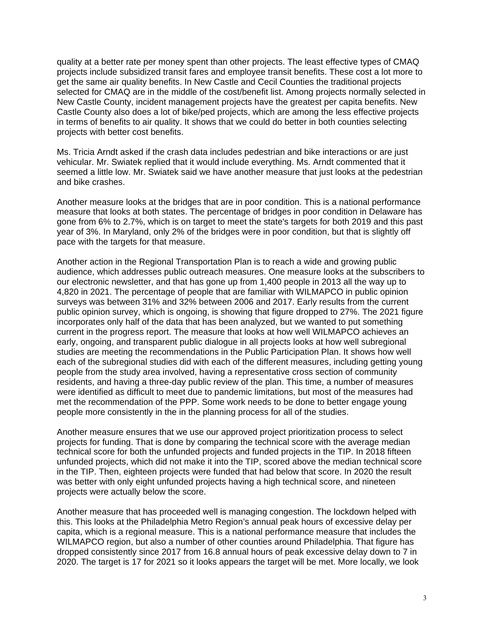quality at a better rate per money spent than other projects. The least effective types of CMAQ projects include subsidized transit fares and employee transit benefits. These cost a lot more to get the same air quality benefits. In New Castle and Cecil Counties the traditional projects selected for CMAQ are in the middle of the cost/benefit list. Among projects normally selected in New Castle County, incident management projects have the greatest per capita benefits. New Castle County also does a lot of bike/ped projects, which are among the less effective projects in terms of benefits to air quality. It shows that we could do better in both counties selecting projects with better cost benefits.

Ms. Tricia Arndt asked if the crash data includes pedestrian and bike interactions or are just vehicular. Mr. Swiatek replied that it would include everything. Ms. Arndt commented that it seemed a little low. Mr. Swiatek said we have another measure that just looks at the pedestrian and bike crashes.

Another measure looks at the bridges that are in poor condition. This is a national performance measure that looks at both states. The percentage of bridges in poor condition in Delaware has gone from 6% to 2.7%, which is on target to meet the state's targets for both 2019 and this past year of 3%. In Maryland, only 2% of the bridges were in poor condition, but that is slightly off pace with the targets for that measure.

Another action in the Regional Transportation Plan is to reach a wide and growing public audience, which addresses public outreach measures. One measure looks at the subscribers to our electronic newsletter, and that has gone up from 1,400 people in 2013 all the way up to 4,820 in 2021. The percentage of people that are familiar with WILMAPCO in public opinion surveys was between 31% and 32% between 2006 and 2017. Early results from the current public opinion survey, which is ongoing, is showing that figure dropped to 27%. The 2021 figure incorporates only half of the data that has been analyzed, but we wanted to put something current in the progress report. The measure that looks at how well WILMAPCO achieves an early, ongoing, and transparent public dialogue in all projects looks at how well subregional studies are meeting the recommendations in the Public Participation Plan. It shows how well each of the subregional studies did with each of the different measures, including getting young people from the study area involved, having a representative cross section of community residents, and having a three-day public review of the plan. This time, a number of measures were identified as difficult to meet due to pandemic limitations, but most of the measures had met the recommendation of the PPP. Some work needs to be done to better engage young people more consistently in the in the planning process for all of the studies.

Another measure ensures that we use our approved project prioritization process to select projects for funding. That is done by comparing the technical score with the average median technical score for both the unfunded projects and funded projects in the TIP. In 2018 fifteen unfunded projects, which did not make it into the TIP, scored above the median technical score in the TIP. Then, eighteen projects were funded that had below that score. In 2020 the result was better with only eight unfunded projects having a high technical score, and nineteen projects were actually below the score.

Another measure that has proceeded well is managing congestion. The lockdown helped with this. This looks at the Philadelphia Metro Region's annual peak hours of excessive delay per capita, which is a regional measure. This is a national performance measure that includes the WILMAPCO region, but also a number of other counties around Philadelphia. That figure has dropped consistently since 2017 from 16.8 annual hours of peak excessive delay down to 7 in 2020. The target is 17 for 2021 so it looks appears the target will be met. More locally, we look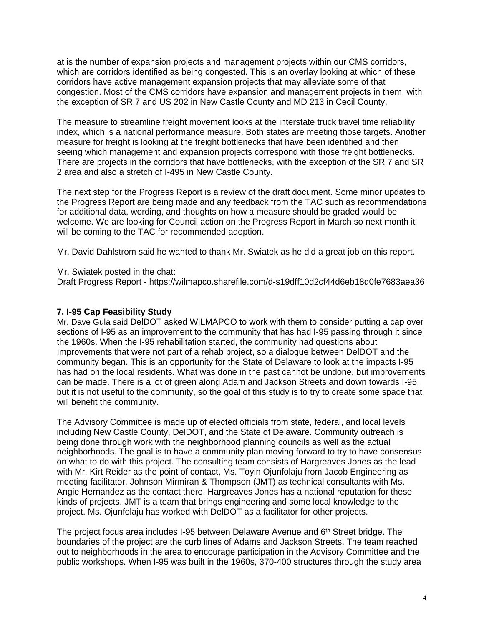at is the number of expansion projects and management projects within our CMS corridors, which are corridors identified as being congested. This is an overlay looking at which of these corridors have active management expansion projects that may alleviate some of that congestion. Most of the CMS corridors have expansion and management projects in them, with the exception of SR 7 and US 202 in New Castle County and MD 213 in Cecil County.

The measure to streamline freight movement looks at the interstate truck travel time reliability index, which is a national performance measure. Both states are meeting those targets. Another measure for freight is looking at the freight bottlenecks that have been identified and then seeing which management and expansion projects correspond with those freight bottlenecks. There are projects in the corridors that have bottlenecks, with the exception of the SR 7 and SR 2 area and also a stretch of I-495 in New Castle County.

The next step for the Progress Report is a review of the draft document. Some minor updates to the Progress Report are being made and any feedback from the TAC such as recommendations for additional data, wording, and thoughts on how a measure should be graded would be welcome. We are looking for Council action on the Progress Report in March so next month it will be coming to the TAC for recommended adoption.

Mr. David Dahlstrom said he wanted to thank Mr. Swiatek as he did a great job on this report.

Mr. Swiatek posted in the chat:

Draft Progress Report - https://wilmapco.sharefile.com/d-s19dff10d2cf44d6eb18d0fe7683aea36

#### **7. I-95 Cap Feasibility Study**

Mr. Dave Gula said DelDOT asked WILMAPCO to work with them to consider putting a cap over sections of I-95 as an improvement to the community that has had I-95 passing through it since the 1960s. When the I-95 rehabilitation started, the community had questions about Improvements that were not part of a rehab project, so a dialogue between DelDOT and the community began. This is an opportunity for the State of Delaware to look at the impacts I-95 has had on the local residents. What was done in the past cannot be undone, but improvements can be made. There is a lot of green along Adam and Jackson Streets and down towards I-95, but it is not useful to the community, so the goal of this study is to try to create some space that will benefit the community.

The Advisory Committee is made up of elected officials from state, federal, and local levels including New Castle County, DelDOT, and the State of Delaware. Community outreach is being done through work with the neighborhood planning councils as well as the actual neighborhoods. The goal is to have a community plan moving forward to try to have consensus on what to do with this project. The consulting team consists of Hargreaves Jones as the lead with Mr. Kirt Reider as the point of contact, Ms. Toyin Ojunfolaju from Jacob Engineering as meeting facilitator, Johnson Mirmiran & Thompson (JMT) as technical consultants with Ms. Angie Hernandez as the contact there. Hargreaves Jones has a national reputation for these kinds of projects. JMT is a team that brings engineering and some local knowledge to the project. Ms. Ojunfolaju has worked with DelDOT as a facilitator for other projects.

The project focus area includes I-95 between Delaware Avenue and 6th Street bridge. The boundaries of the project are the curb lines of Adams and Jackson Streets. The team reached out to neighborhoods in the area to encourage participation in the Advisory Committee and the public workshops. When I-95 was built in the 1960s, 370-400 structures through the study area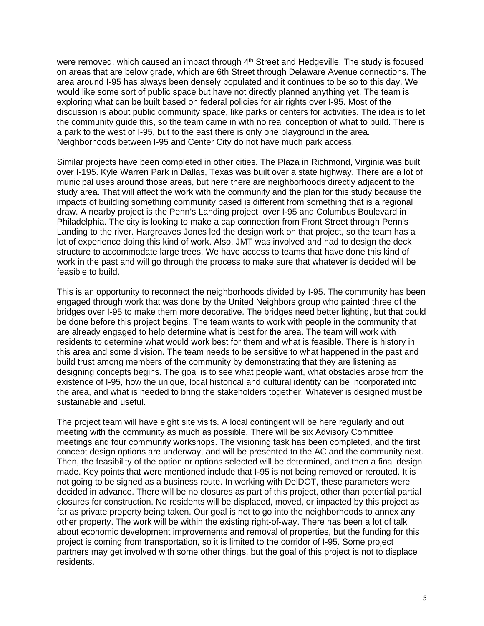were removed, which caused an impact through  $4<sup>th</sup>$  Street and Hedgeville. The study is focused on areas that are below grade, which are 6th Street through Delaware Avenue connections. The area around I-95 has always been densely populated and it continues to be so to this day. We would like some sort of public space but have not directly planned anything yet. The team is exploring what can be built based on federal policies for air rights over I-95. Most of the discussion is about public community space, like parks or centers for activities. The idea is to let the community guide this, so the team came in with no real conception of what to build. There is a park to the west of I-95, but to the east there is only one playground in the area. Neighborhoods between I-95 and Center City do not have much park access.

Similar projects have been completed in other cities. The Plaza in Richmond, Virginia was built over I-195. Kyle Warren Park in Dallas, Texas was built over a state highway. There are a lot of municipal uses around those areas, but here there are neighborhoods directly adjacent to the study area. That will affect the work with the community and the plan for this study because the impacts of building something community based is different from something that is a regional draw. A nearby project is the Penn's Landing project over I-95 and Columbus Boulevard in Philadelphia. The city is looking to make a cap connection from Front Street through Penn's Landing to the river. Hargreaves Jones led the design work on that project, so the team has a lot of experience doing this kind of work. Also, JMT was involved and had to design the deck structure to accommodate large trees. We have access to teams that have done this kind of work in the past and will go through the process to make sure that whatever is decided will be feasible to build.

This is an opportunity to reconnect the neighborhoods divided by I-95. The community has been engaged through work that was done by the United Neighbors group who painted three of the bridges over I-95 to make them more decorative. The bridges need better lighting, but that could be done before this project begins. The team wants to work with people in the community that are already engaged to help determine what is best for the area. The team will work with residents to determine what would work best for them and what is feasible. There is history in this area and some division. The team needs to be sensitive to what happened in the past and build trust among members of the community by demonstrating that they are listening as designing concepts begins. The goal is to see what people want, what obstacles arose from the existence of I-95, how the unique, local historical and cultural identity can be incorporated into the area, and what is needed to bring the stakeholders together. Whatever is designed must be sustainable and useful.

The project team will have eight site visits. A local contingent will be here regularly and out meeting with the community as much as possible. There will be six Advisory Committee meetings and four community workshops. The visioning task has been completed, and the first concept design options are underway, and will be presented to the AC and the community next. Then, the feasibility of the option or options selected will be determined, and then a final design made. Key points that were mentioned include that I-95 is not being removed or rerouted. It is not going to be signed as a business route. In working with DelDOT, these parameters were decided in advance. There will be no closures as part of this project, other than potential partial closures for construction. No residents will be displaced, moved, or impacted by this project as far as private property being taken. Our goal is not to go into the neighborhoods to annex any other property. The work will be within the existing right-of-way. There has been a lot of talk about economic development improvements and removal of properties, but the funding for this project is coming from transportation, so it is limited to the corridor of I-95. Some project partners may get involved with some other things, but the goal of this project is not to displace residents.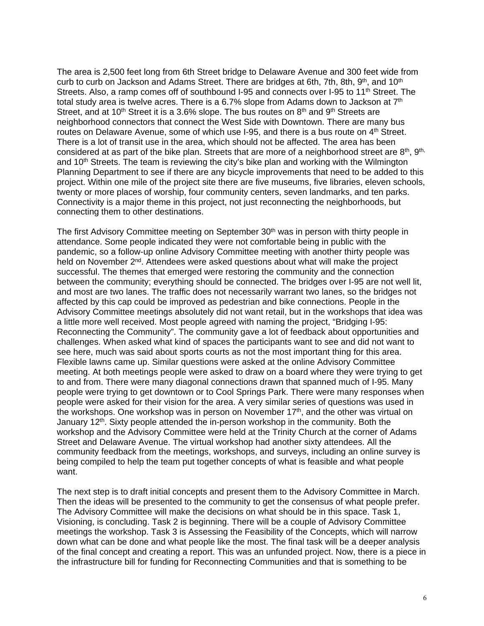The area is 2,500 feet long from 6th Street bridge to Delaware Avenue and 300 feet wide from curb to curb on Jackson and Adams Street. There are bridges at 6th, 7th, 8th, 9<sup>th</sup>, and 10<sup>th</sup> Streets. Also, a ramp comes off of southbound I-95 and connects over I-95 to 11<sup>th</sup> Street. The total study area is twelve acres. There is a 6.7% slope from Adams down to Jackson at  $7<sup>th</sup>$ Street, and at 10<sup>th</sup> Street it is a 3.6% slope. The bus routes on  $8<sup>th</sup>$  and  $9<sup>th</sup>$  Streets are neighborhood connectors that connect the West Side with Downtown. There are many bus routes on Delaware Avenue, some of which use I-95, and there is a bus route on 4<sup>th</sup> Street. There is a lot of transit use in the area, which should not be affected. The area has been considered at as part of the bike plan. Streets that are more of a neighborhood street are  $8<sup>th</sup>$ ,  $9<sup>th</sup>$ , and 10<sup>th</sup> Streets. The team is reviewing the city's bike plan and working with the Wilmington Planning Department to see if there are any bicycle improvements that need to be added to this project. Within one mile of the project site there are five museums, five libraries, eleven schools, twenty or more places of worship, four community centers, seven landmarks, and ten parks. Connectivity is a major theme in this project, not just reconnecting the neighborhoods, but connecting them to other destinations.

The first Advisory Committee meeting on September 30<sup>th</sup> was in person with thirty people in attendance. Some people indicated they were not comfortable being in public with the pandemic, so a follow-up online Advisory Committee meeting with another thirty people was held on November 2<sup>nd</sup>. Attendees were asked questions about what will make the project successful. The themes that emerged were restoring the community and the connection between the community; everything should be connected. The bridges over I-95 are not well lit, and most are two lanes. The traffic does not necessarily warrant two lanes, so the bridges not affected by this cap could be improved as pedestrian and bike connections. People in the Advisory Committee meetings absolutely did not want retail, but in the workshops that idea was a little more well received. Most people agreed with naming the project, "Bridging I-95: Reconnecting the Community". The community gave a lot of feedback about opportunities and challenges. When asked what kind of spaces the participants want to see and did not want to see here, much was said about sports courts as not the most important thing for this area. Flexible lawns came up. Similar questions were asked at the online Advisory Committee meeting. At both meetings people were asked to draw on a board where they were trying to get to and from. There were many diagonal connections drawn that spanned much of I-95. Many people were trying to get downtown or to Cool Springs Park. There were many responses when people were asked for their vision for the area. A very similar series of questions was used in the workshops. One workshop was in person on November  $17<sup>th</sup>$ , and the other was virtual on January 12<sup>th</sup>. Sixty people attended the in-person workshop in the community. Both the workshop and the Advisory Committee were held at the Trinity Church at the corner of Adams Street and Delaware Avenue. The virtual workshop had another sixty attendees. All the community feedback from the meetings, workshops, and surveys, including an online survey is being compiled to help the team put together concepts of what is feasible and what people want.

The next step is to draft initial concepts and present them to the Advisory Committee in March. Then the ideas will be presented to the community to get the consensus of what people prefer. The Advisory Committee will make the decisions on what should be in this space. Task 1, Visioning, is concluding. Task 2 is beginning. There will be a couple of Advisory Committee meetings the workshop. Task 3 is Assessing the Feasibility of the Concepts, which will narrow down what can be done and what people like the most. The final task will be a deeper analysis of the final concept and creating a report. This was an unfunded project. Now, there is a piece in the infrastructure bill for funding for Reconnecting Communities and that is something to be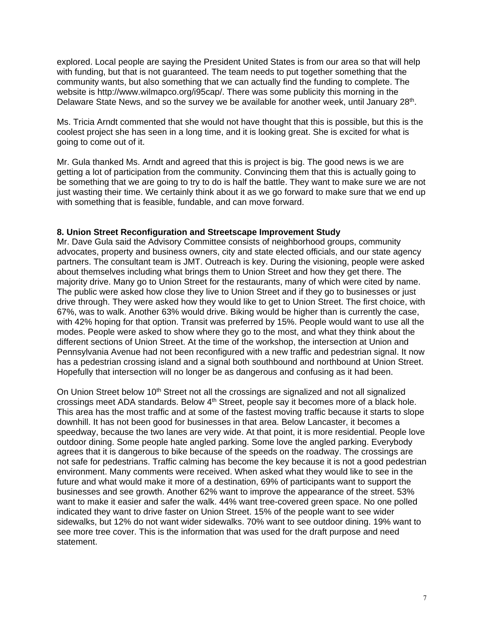explored. Local people are saying the President United States is from our area so that will help with funding, but that is not guaranteed. The team needs to put together something that the community wants, but also something that we can actually find the funding to complete. The website is http://www.wilmapco.org/i95cap/. There was some publicity this morning in the Delaware State News, and so the survey we be available for another week, until January 28th.

Ms. Tricia Arndt commented that she would not have thought that this is possible, but this is the coolest project she has seen in a long time, and it is looking great. She is excited for what is going to come out of it.

Mr. Gula thanked Ms. Arndt and agreed that this is project is big. The good news is we are getting a lot of participation from the community. Convincing them that this is actually going to be something that we are going to try to do is half the battle. They want to make sure we are not just wasting their time. We certainly think about it as we go forward to make sure that we end up with something that is feasible, fundable, and can move forward.

#### **8. Union Street Reconfiguration and Streetscape Improvement Study**

Mr. Dave Gula said the Advisory Committee consists of neighborhood groups, community advocates, property and business owners, city and state elected officials, and our state agency partners. The consultant team is JMT. Outreach is key. During the visioning, people were asked about themselves including what brings them to Union Street and how they get there. The majority drive. Many go to Union Street for the restaurants, many of which were cited by name. The public were asked how close they live to Union Street and if they go to businesses or just drive through. They were asked how they would like to get to Union Street. The first choice, with 67%, was to walk. Another 63% would drive. Biking would be higher than is currently the case, with 42% hoping for that option. Transit was preferred by 15%. People would want to use all the modes. People were asked to show where they go to the most, and what they think about the different sections of Union Street. At the time of the workshop, the intersection at Union and Pennsylvania Avenue had not been reconfigured with a new traffic and pedestrian signal. It now has a pedestrian crossing island and a signal both southbound and northbound at Union Street. Hopefully that intersection will no longer be as dangerous and confusing as it had been.

On Union Street below 10<sup>th</sup> Street not all the crossings are signalized and not all signalized crossings meet ADA standards. Below 4<sup>th</sup> Street, people say it becomes more of a black hole. This area has the most traffic and at some of the fastest moving traffic because it starts to slope downhill. It has not been good for businesses in that area. Below Lancaster, it becomes a speedway, because the two lanes are very wide. At that point, it is more residential. People love outdoor dining. Some people hate angled parking. Some love the angled parking. Everybody agrees that it is dangerous to bike because of the speeds on the roadway. The crossings are not safe for pedestrians. Traffic calming has become the key because it is not a good pedestrian environment. Many comments were received. When asked what they would like to see in the future and what would make it more of a destination, 69% of participants want to support the businesses and see growth. Another 62% want to improve the appearance of the street. 53% want to make it easier and safer the walk. 44% want tree-covered green space. No one polled indicated they want to drive faster on Union Street. 15% of the people want to see wider sidewalks, but 12% do not want wider sidewalks. 70% want to see outdoor dining. 19% want to see more tree cover. This is the information that was used for the draft purpose and need statement.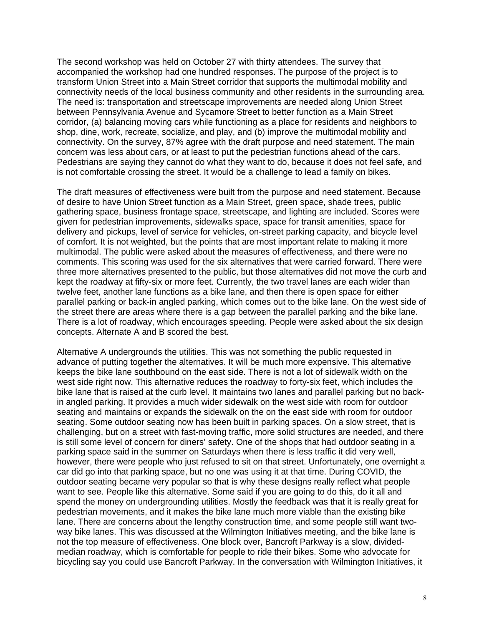The second workshop was held on October 27 with thirty attendees. The survey that accompanied the workshop had one hundred responses. The purpose of the project is to transform Union Street into a Main Street corridor that supports the multimodal mobility and connectivity needs of the local business community and other residents in the surrounding area. The need is: transportation and streetscape improvements are needed along Union Street between Pennsylvania Avenue and Sycamore Street to better function as a Main Street corridor, (a) balancing moving cars while functioning as a place for residents and neighbors to shop, dine, work, recreate, socialize, and play, and (b) improve the multimodal mobility and connectivity. On the survey, 87% agree with the draft purpose and need statement. The main concern was less about cars, or at least to put the pedestrian functions ahead of the cars. Pedestrians are saying they cannot do what they want to do, because it does not feel safe, and is not comfortable crossing the street. It would be a challenge to lead a family on bikes.

The draft measures of effectiveness were built from the purpose and need statement. Because of desire to have Union Street function as a Main Street, green space, shade trees, public gathering space, business frontage space, streetscape, and lighting are included. Scores were given for pedestrian improvements, sidewalks space, space for transit amenities, space for delivery and pickups, level of service for vehicles, on-street parking capacity, and bicycle level of comfort. It is not weighted, but the points that are most important relate to making it more multimodal. The public were asked about the measures of effectiveness, and there were no comments. This scoring was used for the six alternatives that were carried forward. There were three more alternatives presented to the public, but those alternatives did not move the curb and kept the roadway at fifty-six or more feet. Currently, the two travel lanes are each wider than twelve feet, another lane functions as a bike lane, and then there is open space for either parallel parking or back-in angled parking, which comes out to the bike lane. On the west side of the street there are areas where there is a gap between the parallel parking and the bike lane. There is a lot of roadway, which encourages speeding. People were asked about the six design concepts. Alternate A and B scored the best.

Alternative A undergrounds the utilities. This was not something the public requested in advance of putting together the alternatives. It will be much more expensive. This alternative keeps the bike lane southbound on the east side. There is not a lot of sidewalk width on the west side right now. This alternative reduces the roadway to forty-six feet, which includes the bike lane that is raised at the curb level. It maintains two lanes and parallel parking but no backin angled parking. It provides a much wider sidewalk on the west side with room for outdoor seating and maintains or expands the sidewalk on the on the east side with room for outdoor seating. Some outdoor seating now has been built in parking spaces. On a slow street, that is challenging, but on a street with fast-moving traffic, more solid structures are needed, and there is still some level of concern for diners' safety. One of the shops that had outdoor seating in a parking space said in the summer on Saturdays when there is less traffic it did very well, however, there were people who just refused to sit on that street. Unfortunately, one overnight a car did go into that parking space, but no one was using it at that time. During COVID, the outdoor seating became very popular so that is why these designs really reflect what people want to see. People like this alternative. Some said if you are going to do this, do it all and spend the money on undergrounding utilities. Mostly the feedback was that it is really great for pedestrian movements, and it makes the bike lane much more viable than the existing bike lane. There are concerns about the lengthy construction time, and some people still want twoway bike lanes. This was discussed at the Wilmington Initiatives meeting, and the bike lane is not the top measure of effectiveness. One block over, Bancroft Parkway is a slow, dividedmedian roadway, which is comfortable for people to ride their bikes. Some who advocate for bicycling say you could use Bancroft Parkway. In the conversation with Wilmington Initiatives, it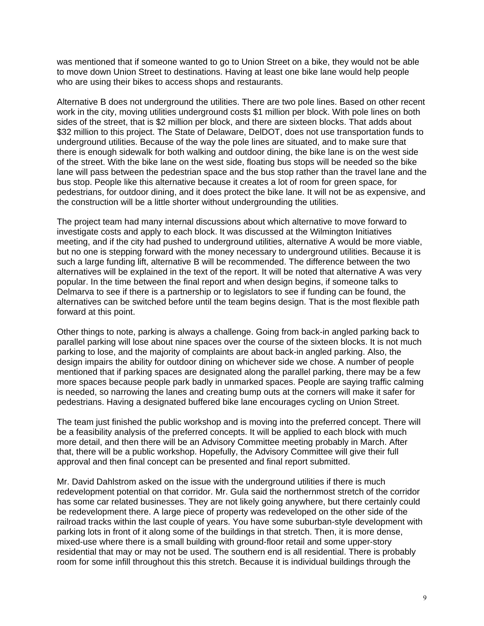was mentioned that if someone wanted to go to Union Street on a bike, they would not be able to move down Union Street to destinations. Having at least one bike lane would help people who are using their bikes to access shops and restaurants.

Alternative B does not underground the utilities. There are two pole lines. Based on other recent work in the city, moving utilities underground costs \$1 million per block. With pole lines on both sides of the street, that is \$2 million per block, and there are sixteen blocks. That adds about \$32 million to this project. The State of Delaware, DelDOT, does not use transportation funds to underground utilities. Because of the way the pole lines are situated, and to make sure that there is enough sidewalk for both walking and outdoor dining, the bike lane is on the west side of the street. With the bike lane on the west side, floating bus stops will be needed so the bike lane will pass between the pedestrian space and the bus stop rather than the travel lane and the bus stop. People like this alternative because it creates a lot of room for green space, for pedestrians, for outdoor dining, and it does protect the bike lane. It will not be as expensive, and the construction will be a little shorter without undergrounding the utilities.

The project team had many internal discussions about which alternative to move forward to investigate costs and apply to each block. It was discussed at the Wilmington Initiatives meeting, and if the city had pushed to underground utilities, alternative A would be more viable, but no one is stepping forward with the money necessary to underground utilities. Because it is such a large funding lift, alternative B will be recommended. The difference between the two alternatives will be explained in the text of the report. It will be noted that alternative A was very popular. In the time between the final report and when design begins, if someone talks to Delmarva to see if there is a partnership or to legislators to see if funding can be found, the alternatives can be switched before until the team begins design. That is the most flexible path forward at this point.

Other things to note, parking is always a challenge. Going from back-in angled parking back to parallel parking will lose about nine spaces over the course of the sixteen blocks. It is not much parking to lose, and the majority of complaints are about back-in angled parking. Also, the design impairs the ability for outdoor dining on whichever side we chose. A number of people mentioned that if parking spaces are designated along the parallel parking, there may be a few more spaces because people park badly in unmarked spaces. People are saying traffic calming is needed, so narrowing the lanes and creating bump outs at the corners will make it safer for pedestrians. Having a designated buffered bike lane encourages cycling on Union Street.

The team just finished the public workshop and is moving into the preferred concept. There will be a feasibility analysis of the preferred concepts. It will be applied to each block with much more detail, and then there will be an Advisory Committee meeting probably in March. After that, there will be a public workshop. Hopefully, the Advisory Committee will give their full approval and then final concept can be presented and final report submitted.

Mr. David Dahlstrom asked on the issue with the underground utilities if there is much redevelopment potential on that corridor. Mr. Gula said the northernmost stretch of the corridor has some car related businesses. They are not likely going anywhere, but there certainly could be redevelopment there. A large piece of property was redeveloped on the other side of the railroad tracks within the last couple of years. You have some suburban-style development with parking lots in front of it along some of the buildings in that stretch. Then, it is more dense, mixed-use where there is a small building with ground-floor retail and some upper-story residential that may or may not be used. The southern end is all residential. There is probably room for some infill throughout this this stretch. Because it is individual buildings through the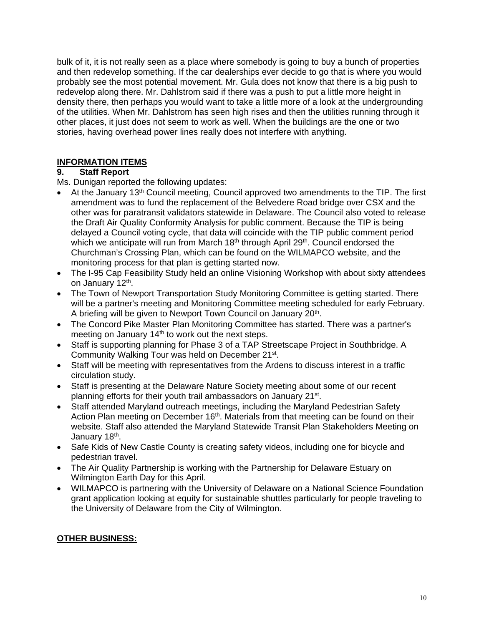bulk of it, it is not really seen as a place where somebody is going to buy a bunch of properties and then redevelop something. If the car dealerships ever decide to go that is where you would probably see the most potential movement. Mr. Gula does not know that there is a big push to redevelop along there. Mr. Dahlstrom said if there was a push to put a little more height in density there, then perhaps you would want to take a little more of a look at the undergrounding of the utilities. When Mr. Dahlstrom has seen high rises and then the utilities running through it other places, it just does not seem to work as well. When the buildings are the one or two stories, having overhead power lines really does not interfere with anything.

### **INFORMATION ITEMS**

### **9. Staff Report**

Ms. Dunigan reported the following updates:

- At the January 13<sup>th</sup> Council meeting, Council approved two amendments to the TIP. The first amendment was to fund the replacement of the Belvedere Road bridge over CSX and the other was for paratransit validators statewide in Delaware. The Council also voted to release the Draft Air Quality Conformity Analysis for public comment. Because the TIP is being delayed a Council voting cycle, that data will coincide with the TIP public comment period which we anticipate will run from March 18<sup>th</sup> through April 29<sup>th</sup>. Council endorsed the Churchman's Crossing Plan, which can be found on the WILMAPCO website, and the monitoring process for that plan is getting started now.
- The I-95 Cap Feasibility Study held an online Visioning Workshop with about sixty attendees on January 12th.
- The Town of Newport Transportation Study Monitoring Committee is getting started. There will be a partner's meeting and Monitoring Committee meeting scheduled for early February. A briefing will be given to Newport Town Council on January 20<sup>th</sup>.
- The Concord Pike Master Plan Monitoring Committee has started. There was a partner's meeting on January 14<sup>th</sup> to work out the next steps.
- Staff is supporting planning for Phase 3 of a TAP Streetscape Project in Southbridge. A Community Walking Tour was held on December 21st.
- Staff will be meeting with representatives from the Ardens to discuss interest in a traffic circulation study.
- Staff is presenting at the Delaware Nature Society meeting about some of our recent planning efforts for their youth trail ambassadors on January 21st.
- Staff attended Maryland outreach meetings, including the Maryland Pedestrian Safety Action Plan meeting on December  $16<sup>th</sup>$ . Materials from that meeting can be found on their website. Staff also attended the Maryland Statewide Transit Plan Stakeholders Meeting on January 18<sup>th</sup>.
- Safe Kids of New Castle County is creating safety videos, including one for bicycle and pedestrian travel.
- The Air Quality Partnership is working with the Partnership for Delaware Estuary on Wilmington Earth Day for this April.
- WILMAPCO is partnering with the University of Delaware on a National Science Foundation grant application looking at equity for sustainable shuttles particularly for people traveling to the University of Delaware from the City of Wilmington.

## **OTHER BUSINESS:**